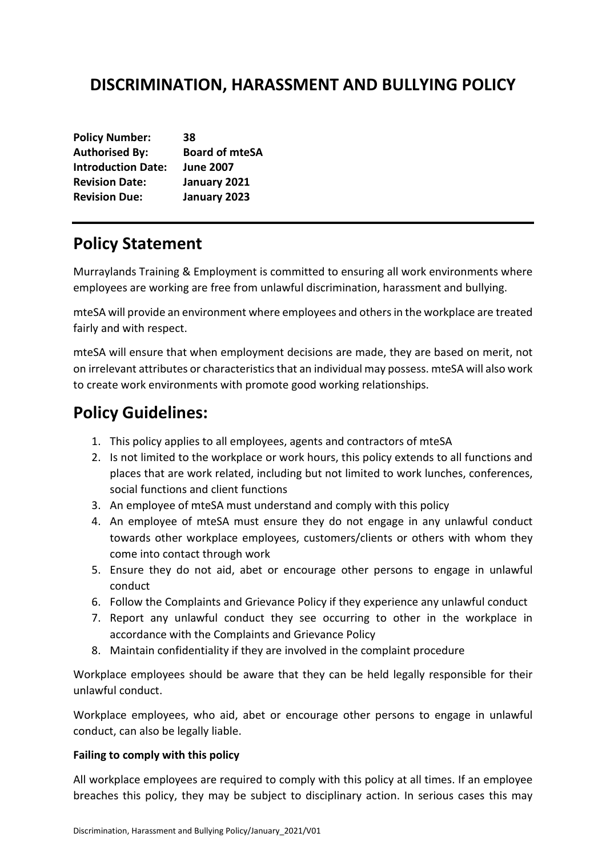# **DISCRIMINATION, HARASSMENT AND BULLYING POLICY**

| <b>Policy Number:</b>     | 38                    |
|---------------------------|-----------------------|
| <b>Authorised By:</b>     | <b>Board of mteSA</b> |
| <b>Introduction Date:</b> | <b>June 2007</b>      |
| <b>Revision Date:</b>     | January 2021          |
| <b>Revision Due:</b>      | January 2023          |

# **Policy Statement**

Murraylands Training & Employment is committed to ensuring all work environments where employees are working are free from unlawful discrimination, harassment and bullying.

mteSA will provide an environment where employees and others in the workplace are treated fairly and with respect.

mteSA will ensure that when employment decisions are made, they are based on merit, not on irrelevant attributes or characteristics that an individual may possess. mteSA will also work to create work environments with promote good working relationships.

# **Policy Guidelines:**

- 1. This policy applies to all employees, agents and contractors of mteSA
- 2. Is not limited to the workplace or work hours, this policy extends to all functions and places that are work related, including but not limited to work lunches, conferences, social functions and client functions
- 3. An employee of mteSA must understand and comply with this policy
- 4. An employee of mteSA must ensure they do not engage in any unlawful conduct towards other workplace employees, customers/clients or others with whom they come into contact through work
- 5. Ensure they do not aid, abet or encourage other persons to engage in unlawful conduct
- 6. Follow the Complaints and Grievance Policy if they experience any unlawful conduct
- 7. Report any unlawful conduct they see occurring to other in the workplace in accordance with the Complaints and Grievance Policy
- 8. Maintain confidentiality if they are involved in the complaint procedure

Workplace employees should be aware that they can be held legally responsible for their unlawful conduct.

Workplace employees, who aid, abet or encourage other persons to engage in unlawful conduct, can also be legally liable.

### **Failing to comply with this policy**

All workplace employees are required to comply with this policy at all times. If an employee breaches this policy, they may be subject to disciplinary action. In serious cases this may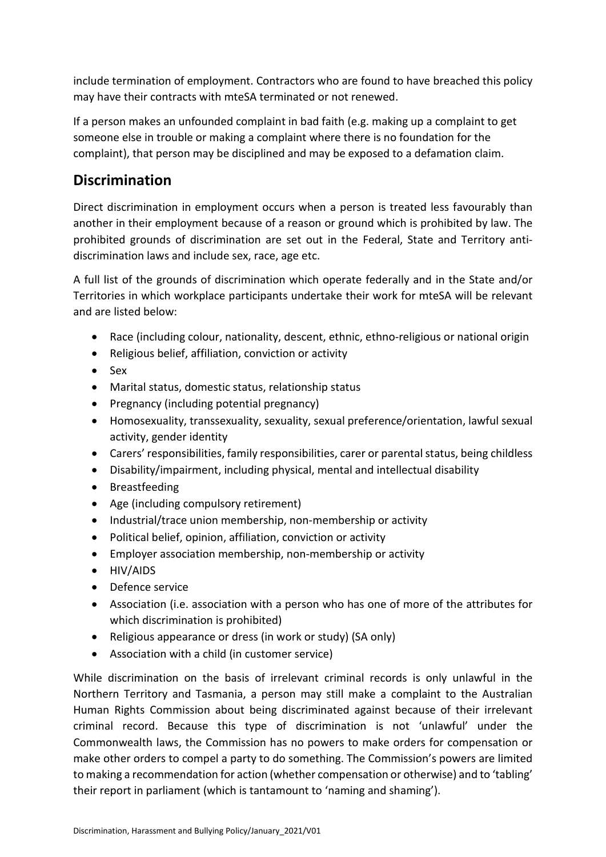include termination of employment. Contractors who are found to have breached this policy may have their contracts with mteSA terminated or not renewed.

If a person makes an unfounded complaint in bad faith (e.g. making up a complaint to get someone else in trouble or making a complaint where there is no foundation for the complaint), that person may be disciplined and may be exposed to a defamation claim.

## **Discrimination**

Direct discrimination in employment occurs when a person is treated less favourably than another in their employment because of a reason or ground which is prohibited by law. The prohibited grounds of discrimination are set out in the Federal, State and Territory antidiscrimination laws and include sex, race, age etc.

A full list of the grounds of discrimination which operate federally and in the State and/or Territories in which workplace participants undertake their work for mteSA will be relevant and are listed below:

- Race (including colour, nationality, descent, ethnic, ethno-religious or national origin
- Religious belief, affiliation, conviction or activity
- Sex
- Marital status, domestic status, relationship status
- Pregnancy (including potential pregnancy)
- Homosexuality, transsexuality, sexuality, sexual preference/orientation, lawful sexual activity, gender identity
- Carers' responsibilities, family responsibilities, carer or parental status, being childless
- Disability/impairment, including physical, mental and intellectual disability
- Breastfeeding
- Age (including compulsory retirement)
- Industrial/trace union membership, non-membership or activity
- Political belief, opinion, affiliation, conviction or activity
- Employer association membership, non-membership or activity
- HIV/AIDS
- Defence service
- Association (i.e. association with a person who has one of more of the attributes for which discrimination is prohibited)
- Religious appearance or dress (in work or study) (SA only)
- Association with a child (in customer service)

While discrimination on the basis of irrelevant criminal records is only unlawful in the Northern Territory and Tasmania, a person may still make a complaint to the Australian Human Rights Commission about being discriminated against because of their irrelevant criminal record. Because this type of discrimination is not 'unlawful' under the Commonwealth laws, the Commission has no powers to make orders for compensation or make other orders to compel a party to do something. The Commission's powers are limited to making a recommendation for action (whether compensation or otherwise) and to 'tabling' their report in parliament (which is tantamount to 'naming and shaming').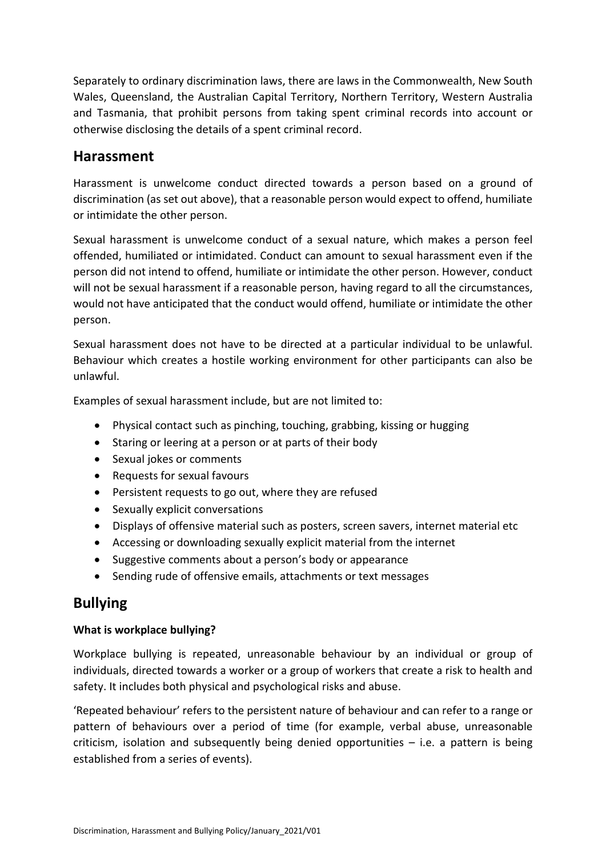Separately to ordinary discrimination laws, there are laws in the Commonwealth, New South Wales, Queensland, the Australian Capital Territory, Northern Territory, Western Australia and Tasmania, that prohibit persons from taking spent criminal records into account or otherwise disclosing the details of a spent criminal record.

## **Harassment**

Harassment is unwelcome conduct directed towards a person based on a ground of discrimination (as set out above), that a reasonable person would expect to offend, humiliate or intimidate the other person.

Sexual harassment is unwelcome conduct of a sexual nature, which makes a person feel offended, humiliated or intimidated. Conduct can amount to sexual harassment even if the person did not intend to offend, humiliate or intimidate the other person. However, conduct will not be sexual harassment if a reasonable person, having regard to all the circumstances, would not have anticipated that the conduct would offend, humiliate or intimidate the other person.

Sexual harassment does not have to be directed at a particular individual to be unlawful. Behaviour which creates a hostile working environment for other participants can also be unlawful.

Examples of sexual harassment include, but are not limited to:

- Physical contact such as pinching, touching, grabbing, kissing or hugging
- Staring or leering at a person or at parts of their body
- Sexual jokes or comments
- Requests for sexual favours
- Persistent requests to go out, where they are refused
- Sexually explicit conversations
- Displays of offensive material such as posters, screen savers, internet material etc
- Accessing or downloading sexually explicit material from the internet
- Suggestive comments about a person's body or appearance
- Sending rude of offensive emails, attachments or text messages

## **Bullying**

### **What is workplace bullying?**

Workplace bullying is repeated, unreasonable behaviour by an individual or group of individuals, directed towards a worker or a group of workers that create a risk to health and safety. It includes both physical and psychological risks and abuse.

'Repeated behaviour' refers to the persistent nature of behaviour and can refer to a range or pattern of behaviours over a period of time (for example, verbal abuse, unreasonable criticism, isolation and subsequently being denied opportunities – i.e. a pattern is being established from a series of events).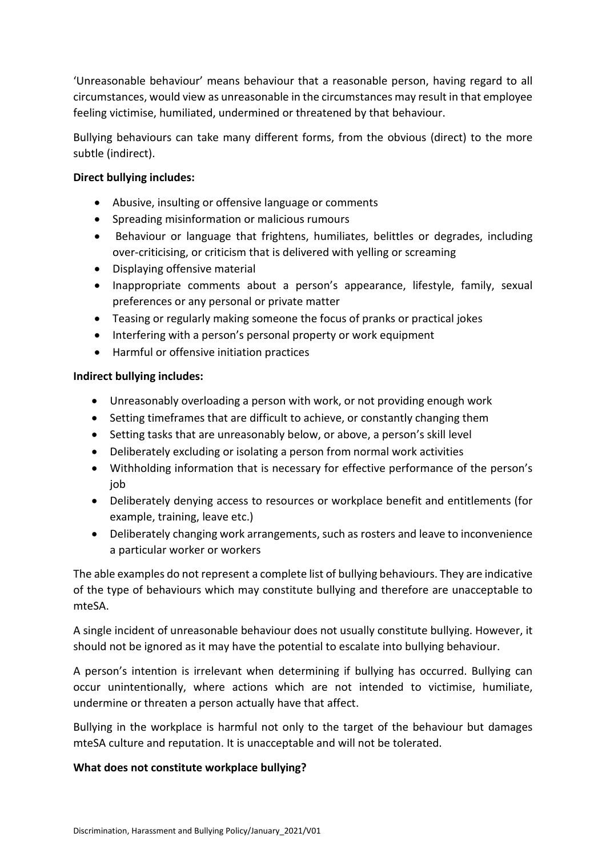'Unreasonable behaviour' means behaviour that a reasonable person, having regard to all circumstances, would view as unreasonable in the circumstances may result in that employee feeling victimise, humiliated, undermined or threatened by that behaviour.

Bullying behaviours can take many different forms, from the obvious (direct) to the more subtle (indirect).

### **Direct bullying includes:**

- Abusive, insulting or offensive language or comments
- Spreading misinformation or malicious rumours
- Behaviour or language that frightens, humiliates, belittles or degrades, including over-criticising, or criticism that is delivered with yelling or screaming
- Displaying offensive material
- Inappropriate comments about a person's appearance, lifestyle, family, sexual preferences or any personal or private matter
- Teasing or regularly making someone the focus of pranks or practical jokes
- Interfering with a person's personal property or work equipment
- Harmful or offensive initiation practices

#### **Indirect bullying includes:**

- Unreasonably overloading a person with work, or not providing enough work
- Setting timeframes that are difficult to achieve, or constantly changing them
- Setting tasks that are unreasonably below, or above, a person's skill level
- Deliberately excluding or isolating a person from normal work activities
- Withholding information that is necessary for effective performance of the person's job
- Deliberately denying access to resources or workplace benefit and entitlements (for example, training, leave etc.)
- Deliberately changing work arrangements, such as rosters and leave to inconvenience a particular worker or workers

The able examples do not represent a complete list of bullying behaviours. They are indicative of the type of behaviours which may constitute bullying and therefore are unacceptable to mteSA.

A single incident of unreasonable behaviour does not usually constitute bullying. However, it should not be ignored as it may have the potential to escalate into bullying behaviour.

A person's intention is irrelevant when determining if bullying has occurred. Bullying can occur unintentionally, where actions which are not intended to victimise, humiliate, undermine or threaten a person actually have that affect.

Bullying in the workplace is harmful not only to the target of the behaviour but damages mteSA culture and reputation. It is unacceptable and will not be tolerated.

#### **What does not constitute workplace bullying?**